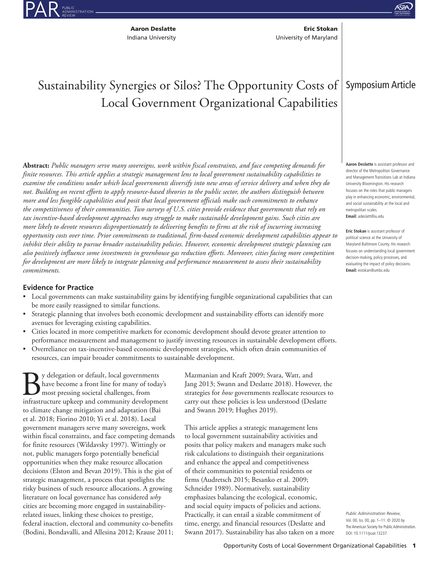

# Sustainability Synergies or Silos? The Opportunity Costs of Local Government Organizational Capabilities

**Abstract:** *Public managers serve many sovereigns, work within fiscal constraints, and face competing demands for finite resources. This article applies a strategic management lens to local government sustainability capabilities to examine the conditions under which local governments diversify into new areas of service delivery and when they do not. Building on recent efforts to apply resource-based theories to the public sector, the authors distinguish between more and less fungible capabilities and posit that local government officials make such commitments to enhance the competitiveness of their communities. Two surveys of U.S. cities provide evidence that governments that rely on tax incentive-based development approaches may struggle to make sustainable development gains. Such cities are more likely to devote resources disproportionately to delivering benefits to firms at the risk of incurring increasing opportunity costs over time. Prior commitments to traditional, firm-based economic development capabilities appear to inhibit their ability to pursue broader sustainability policies. However, economic development strategic planning can also positively influence some investments in greenhouse gas reduction efforts. Moreover, cities facing more competition for development are more likely to integrate planning and performance measurement to assess their sustainability commitments.*

## **Evidence for Practice**

- Local governments can make sustainability gains by identifying fungible organizational capabilities that can be more easily reassigned to similar functions.
- Strategic planning that involves both economic development and sustainability efforts can identify more avenues for leveraging existing capabilities.
- Cities located in more competitive markets for economic development should devote greater attention to performance measurement and management to justify investing resources in sustainable development efforts.
- Overreliance on tax-incentive-based economic development strategies, which often drain communities of resources, can impair broader commitments to sustainable development.

By delegation or default, local governments<br>have become a front line for many of today<br>infrastructure upkeep and community developments have become a front line for many of today's most pressing societal challenges, from infrastructure upkeep and community development to climate change mitigation and adaptation (Bai et al. 2018; Fiorino 2010; Yi et al. 2018). Local government managers serve many sovereigns, work within fiscal constraints, and face competing demands for finite resources (Wildavsky 1997). Wittingly or not, public managers forgo potentially beneficial opportunities when they make resource allocation decisions (Elston and Bevan 2019). This is the gist of strategic management, a process that spotlights the risky business of such resource allocations. A growing literature on local governance has considered *why* cities are becoming more engaged in sustainabilityrelated issues, linking these choices to prestige, federal inaction, electoral and community co-benefits (Bodini, Bondavalli, and Allesina 2012; Krause 2011;

Mazmanian and Kraft 2009; Svara, Watt, and Jang 2013; Swann and Deslatte 2018). However, the strategies for *how* governments reallocate resources to carry out these policies is less understood (Deslatte and Swann 2019; Hughes 2019).

This article applies a strategic management lens to local government sustainability activities and posits that policy makers and managers make such risk calculations to distinguish their organizations and enhance the appeal and competitiveness of their communities to potential residents or firms (Audretsch 2015; Besanko et al. 2009; Schneider 1989). Normatively, sustainability emphasizes balancing the ecological, economic, and social equity impacts of policies and actions. Practically, it can entail a sizable commitment of time, energy, and financial resources (Deslatte and Swann 2017). Sustainability has also taken on a more

# Symposium Article

**Aaron Deslatte** is assistant professor and director of the Metropolitan Governance and Management Transitions Lab at Indiana University Bloomington. His research focuses on the roles that public managers play in enhancing economic, environmental, and social sustainability at the local and metropolitan scales. **Email:** adeslatt@iu.edu

**Eric Stokan** is assistant professor of political science at the University of Maryland Baltimore County. His research focuses on understanding local government decision-making, policy processes, and evaluating the impact of policy decisions. **Email:** estokan@umbc.edu

*Public Administration Review*, Vol. 00, Iss. 00, pp. 1–11. © 2020 by The American Society for Public Administration. DOI: 10.1111/puar.13237.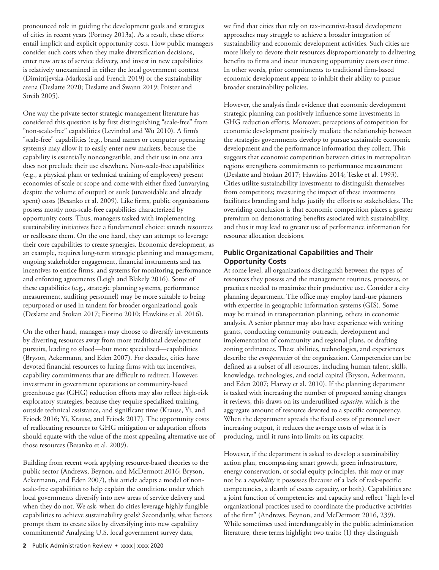pronounced role in guiding the development goals and strategies of cities in recent years (Portney 2013a). As a result, these efforts entail implicit and explicit opportunity costs. How public managers consider such costs when they make diversification decisions, enter new areas of service delivery, and invest in new capabilities is relatively unexamined in either the local government context (Dimitrijevska-Markoski and French 2019) or the sustainability arena (Deslatte 2020; Deslatte and Swann 2019; Poister and Streib 2005).

One way the private sector strategic management literature has considered this question is by first distinguishing "scale-free" from "non-scale-free" capabilities (Levinthal and Wu 2010). A firm's "scale-free" capabilities (e.g., brand names or computer operating systems) may allow it to easily enter new markets, because the capability is essentially noncongestible, and their use in one area does not preclude their use elsewhere. Non-scale-free capabilities (e.g., a physical plant or technical training of employees) present economies of scale or scope and come with either fixed (unvarying despite the volume of output) or sunk (unavoidable and already spent) costs (Besanko et al. 2009). Like firms, public organizations possess mostly non-scale-free capabilities characterized by opportunity costs. Thus, managers tasked with implementing sustainability initiatives face a fundamental choice: stretch resources or reallocate them. On the one hand, they can attempt to leverage their core capabilities to create synergies. Economic development, as an example, requires long-term strategic planning and management, ongoing stakeholder engagement, financial instruments and tax incentives to entice firms, and systems for monitoring performance and enforcing agreements (Leigh and Blakely 2016). Some of these capabilities (e.g., strategic planning systems, performance measurement, auditing personnel) may be more suitable to being repurposed or used in tandem for broader organizational goals (Deslatte and Stokan 2017; Fiorino 2010; Hawkins et al. 2016).

On the other hand, managers may choose to diversify investments by diverting resources away from more traditional development pursuits, leading to siloed—but more specialized—capabilities (Bryson, Ackermann, and Eden 2007). For decades, cities have devoted financial resources to luring firms with tax incentives, capability commitments that are difficult to redirect. However, investment in government operations or community-based greenhouse gas (GHG) reduction efforts may also reflect high-risk exploratory strategies, because they require specialized training, outside technical assistance, and significant time (Krause, Yi, and Feiock 2016; Yi, Krause, and Feiock 2017). The opportunity costs of reallocating resources to GHG mitigation or adaptation efforts should equate with the value of the most appealing alternative use of those resources (Besanko et al. 2009).

Building from recent work applying resource-based theories to the public sector (Andrews, Beynon, and McDermott 2016; Bryson, Ackermann, and Eden 2007), this article adapts a model of nonscale-free capabilities to help explain the conditions under which local governments diversify into new areas of service delivery and when they do not. We ask, when do cities leverage highly fungible capabilities to achieve sustainability goals? Secondarily, what factors prompt them to create silos by diversifying into new capability commitments? Analyzing U.S. local government survey data,

we find that cities that rely on tax-incentive-based development approaches may struggle to achieve a broader integration of sustainability and economic development activities. Such cities are more likely to devote their resources disproportionately to delivering benefits to firms and incur increasing opportunity costs over time. In other words, prior commitments to traditional firm-based economic development appear to inhibit their ability to pursue broader sustainability policies.

However, the analysis finds evidence that economic development strategic planning can positively influence some investments in GHG reduction efforts. Moreover, perceptions of competition for economic development positively mediate the relationship between the strategies governments develop to pursue sustainable economic development and the performance information they collect. This suggests that economic competition between cities in metropolitan regions strengthens commitments to performance measurement (Deslatte and Stokan 2017; Hawkins 2014; Teske et al. 1993). Cities utilize sustainability investments to distinguish themselves from competitors; measuring the impact of these investments facilitates branding and helps justify the efforts to stakeholders. The overriding conclusion is that economic competition places a greater premium on demonstrating benefits associated with sustainability, and thus it may lead to greater use of performance information for resource allocation decisions.

# **Public Organizational Capabilities and Their Opportunity Costs**

At some level, all organizations distinguish between the types of resources they possess and the management routines, processes, or practices needed to maximize their productive use. Consider a city planning department. The office may employ land-use planners with expertise in geographic information systems (GIS). Some may be trained in transportation planning, others in economic analysis. A senior planner may also have experience with writing grants, conducting community outreach, development and implementation of community and regional plans, or drafting zoning ordinances. These abilities, technologies, and experiences describe the *competencies* of the organization. Competencies can be defined as a subset of all resources, including human talent, skills, knowledge, technologies, and social capital (Bryson, Ackermann, and Eden 2007; Harvey et al. 2010). If the planning department is tasked with increasing the number of proposed zoning changes it reviews, this draws on its underutilized *capacity*, which is the aggregate amount of resource devoted to a specific competency. When the department spreads the fixed costs of personnel over increasing output, it reduces the average costs of what it is producing, until it runs into limits on its capacity.

However, if the department is asked to develop a sustainability action plan, encompassing smart growth, green infrastructure, energy conservation, or social equity principles, this may or may not be a *capability* it possesses (because of a lack of task-specific competencies, a dearth of excess capacity, or both). Capabilities are a joint function of competencies and capacity and reflect "high level organizational practices used to coordinate the productive activities of the firm" (Andrews, Beynon, and McDermott 2016, 239). While sometimes used interchangeably in the public administration literature, these terms highlight two traits: (1) they distinguish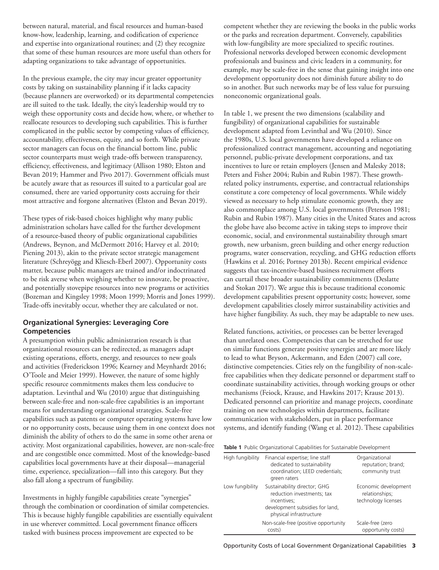between natural, material, and fiscal resources and human-based know-how, leadership, learning, and codification of experience and expertise into organizational routines; and (2) they recognize that some of these human resources are more useful than others for adapting organizations to take advantage of opportunities.

In the previous example, the city may incur greater opportunity costs by taking on sustainability planning if it lacks capacity (because planners are overworked) or its departmental competencies are ill suited to the task. Ideally, the city's leadership would try to weigh these opportunity costs and decide how, where, or whether to reallocate resources to developing such capabilities. This is further complicated in the public sector by competing values of efficiency, accountability, effectiveness, equity, and so forth. While private sector managers can focus on the financial bottom line, public sector counterparts must weigh trade-offs between transparency, efficiency, effectiveness, and legitimacy (Allison 1980; Elston and Bevan 2019; Hammer and Pivo 2017). Government officials must be acutely aware that as resources ill suited to a particular goal are consumed, there are varied opportunity costs accruing for their most attractive and forgone alternatives (Elston and Bevan 2019).

These types of risk-based choices highlight why many public administration scholars have called for the further development of a resource-based theory of public organizational capabilities (Andrews, Beynon, and McDermott 2016; Harvey et al. 2010; Piening 2013), akin to the private sector strategic management literature (Schreyögg and Kliesch-Eberl 2007). Opportunity costs matter, because public managers are trained and/or indoctrinated to be risk averse when weighing whether to innovate, be proactive, and potentially stovepipe resources into new programs or activities (Bozeman and Kingsley 1998; Moon 1999; Morris and Jones 1999). Trade-offs inevitably occur, whether they are calculated or not.

# **Organizational Synergies: Leveraging Core Competencies**

A presumption within public administration research is that organizational resources can be redirected, as managers adapt existing operations, efforts, energy, and resources to new goals and activities (Frederickson 1996; Kearney and Meynhardt 2016; O'Toole and Meier 1999). However, the nature of some highly specific resource commitments makes them less conducive to adaptation. Levinthal and Wu (2010) argue that distinguishing between scale-free and non-scale-free capabilities is an important means for understanding organizational strategies. Scale-free capabilities such as patents or computer operating systems have low or no opportunity costs, because using them in one context does not diminish the ability of others to do the same in some other arena or activity. Most organizational capabilities, however, are non-scale-free and are congestible once committed. Most of the knowledge-based capabilities local governments have at their disposal—managerial time, experience, specialization—fall into this category. But they also fall along a spectrum of fungibility.

Investments in highly fungible capabilities create "synergies" through the combination or coordination of similar competencies. This is because highly fungible capabilities are essentially equivalent in use wherever committed. Local government finance officers tasked with business process improvement are expected to be

competent whether they are reviewing the books in the public works or the parks and recreation department. Conversely, capabilities with low-fungibility are more specialized to specific routines. Professional networks developed between economic development professionals and business and civic leaders in a community, for example, may be scale-free in the sense that gaining insight into one development opportunity does not diminish future ability to do so in another. But such networks may be of less value for pursuing noneconomic organizational goals.

In table 1, we present the two dimensions (scalability and fungibility) of organizational capabilities for sustainable development adapted from Levinthal and Wu (2010). Since the 1980s, U.S. local governments have developed a reliance on professionalized contract management, accounting and negotiating personnel, public-private development corporations, and tax incentives to lure or retain employers (Jensen and Malesky 2018; Peters and Fisher 2004; Rubin and Rubin 1987). These growthrelated policy instruments, expertise, and contractual relationships constitute a core competency of local governments. While widely viewed as necessary to help stimulate economic growth, they are also commonplace among U.S. local governments (Peterson 1981; Rubin and Rubin 1987). Many cities in the United States and across the globe have also become active in taking steps to improve their economic, social, and environmental sustainability through smart growth, new urbanism, green building and other energy reduction programs, water conservation, recycling, and GHG reduction efforts (Hawkins et al. 2016; Portney 2013b). Recent empirical evidence suggests that tax-incentive-based business recruitment efforts can curtail these broader sustainability commitments (Deslatte and Stokan 2017). We argue this is because traditional economic development capabilities present opportunity costs; however, some development capabilities closely mirror sustainability activities and have higher fungibility. As such, they may be adaptable to new uses.

Related functions, activities, or processes can be better leveraged than unrelated ones. Competencies that can be stretched for use on similar functions generate positive synergies and are more likely to lead to what Bryson, Ackermann, and Eden (2007) call core, distinctive competencies. Cities rely on the fungibility of non-scalefree capabilities when they dedicate personnel or department staff to coordinate sustainability activities, through working groups or other mechanisms (Feiock, Krause, and Hawkins 2017; Krause 2013). Dedicated personnel can prioritize and manage projects, coordinate training on new technologies within departments, facilitate communication with stakeholders, put in place performance systems, and identify funding (Wang et al. 2012). These capabilities

|  | <b>Table 1</b> Public Organizational Capabilities for Sustainable Development |
|--|-------------------------------------------------------------------------------|
|  |                                                                               |

| High fungibility | Financial expertise; line staff<br>dedicated to sustainability<br>coordination; LEED credentials;<br>green raters                       | Organizational<br>reputation; brand;<br>community trust       |
|------------------|-----------------------------------------------------------------------------------------------------------------------------------------|---------------------------------------------------------------|
| Low fungibility  | Sustainability director; GHG<br>reduction investments; tax<br>incentives;<br>development subsidies for land,<br>physical infrastructure | Economic development<br>relationships;<br>technology licenses |
|                  | Non-scale-free (positive opportunity<br>costs)                                                                                          | Scale-free (zero<br>opportunity costs)                        |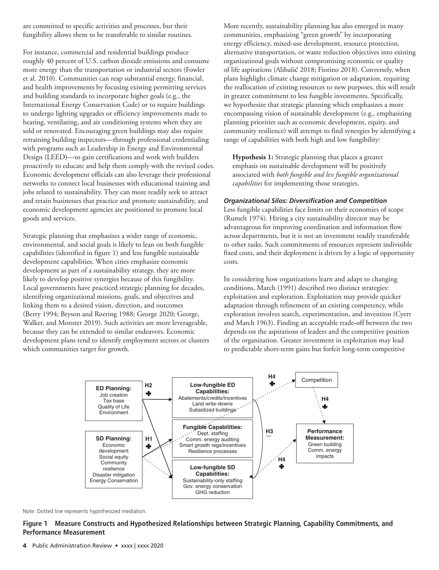are committed to specific activities and processes, but their fungibility allows them to be transferable to similar routines.

For instance, commercial and residential buildings produce roughly 40 percent of U.S. carbon dioxide emissions and consume more energy than the transportation or industrial sectors (Fowler et al. 2010). Communities can reap substantial energy, financial, and health improvements by focusing existing permitting services and building standards to incorporate higher goals (e.g., the International Energy Conservation Code) or to require buildings to undergo lighting upgrades or efficiency improvements made to heating, ventilating, and air conditioning systems when they are sold or renovated. Encouraging green buildings may also require retraining building inspectors—through professional credentialing with programs such as Leadership in Energy and Environmental Design (LEED)—to gain certifications and work with builders proactively to educate and help them comply with the revised codes. Economic development officials can also leverage their professional networks to connect local businesses with educational training and jobs related to sustainability. They can more readily seek to attract and retain businesses that practice and promote sustainability, and economic development agencies are positioned to promote local goods and services.

Strategic planning that emphasizes a wider range of economic, environmental, and social goals is likely to lean on both fungible capabilities (identified in figure 1) and less fungible sustainable development capabilities. When cities emphasize economic development as part of a sustainability strategy, they are more likely to develop positive synergies because of this fungibility. Local governments have practiced strategic planning for decades, identifying organizational missions, goals, and objectives and linking them to a desired vision, direction, and outcomes (Berry 1994; Bryson and Roering 1988; George 2020; George, Walker, and Monster 2019). Such activities are more leverageable, because they can be extended to similar endeavors. Economic development plans tend to identify employment sectors or clusters which communities target for growth.

More recently, sustainability planning has also emerged in many communities, emphasizing "green growth" by incorporating energy efficiency, mixed-use development, resource protection, alternative transportation, or waste reduction objectives into existing organizational goals without compromising economic or quality of life aspirations (Alibašić 2018; Fiorino 2018). Conversely, when plans highlight climate change mitigation or adaptation, requiring the reallocation of existing resources to new purposes, this will result in greater commitment to less fungible investments. Specifically, we hypothesize that strategic planning which emphasizes a more encompassing vision of sustainable development (e.g., emphasizing planning priorities such as economic development, equity, and community resilience) will attempt to find synergies by identifying a range of capabilities with both high and low fungibility:

**Hypothesis 1:** Strategic planning that places a greater emphasis on sustainable development will be positively associated with *both fungible and less fungible organizational capabilities* for implementing those strategies.

#### *Organizational Silos: Diversification and Competition*

Less fungible capabilities face limits on their economies of scope (Rumelt 1974). Hiring a city sustainability director may be advantageous for improving coordination and information flow across departments, but it is not an investment readily transferable to other tasks. Such commitments of resources represent indivisible fixed costs, and their deployment is driven by a logic of opportunity costs.

In considering how organizations learn and adapt to changing conditions, March (1991) described two distinct strategies: exploitation and exploration. Exploitation may provide quicker adaptation through refinement of an existing competency, while exploration involves search, experimentation, and invention (Cyert and March 1963). Finding an acceptable trade-off between the two depends on the aspirations of leaders and the competitive position of the organization. Greater investment in exploitation may lead to predictable short-term gains but forfeit long-term competitive



Note: Dotted line represents hypothesized mediation.

**Figure 1 Measure Constructs and Hypothesized Relationships between Strategic Planning, Capability Commitments, and Performance Measurement**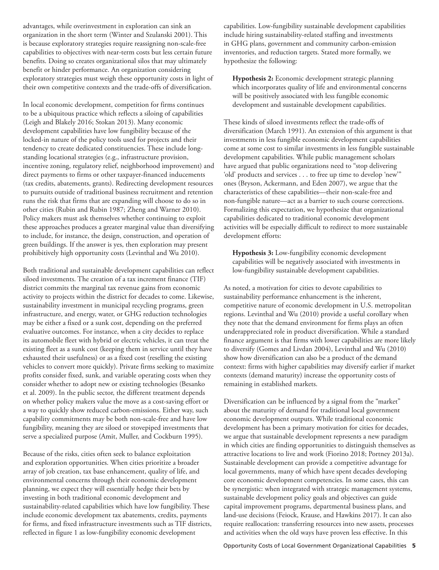advantages, while overinvestment in exploration can sink an organization in the short term (Winter and Szulanski 2001). This is because exploratory strategies require reassigning non-scale-free capabilities to objectives with near-term costs but less certain future benefits. Doing so creates organizational silos that may ultimately benefit or hinder performance. An organization considering exploratory strategies must weigh these opportunity costs in light of their own competitive contexts and the trade-offs of diversification.

In local economic development, competition for firms continues to be a ubiquitous practice which reflects a siloing of capabilities (Leigh and Blakely 2016; Stokan 2013). Many economic development capabilities have low fungibility because of the locked-in nature of the policy tools used for projects and their tendency to create dedicated constituencies. These include longstanding locational strategies (e.g., infrastructure provision, incentive zoning, regulatory relief, neighborhood improvement) and direct payments to firms or other taxpayer-financed inducements (tax credits, abatements, grants). Redirecting development resources to pursuits outside of traditional business recruitment and retention runs the risk that firms that are expanding will choose to do so in other cities (Rubin and Rubin 1987; Zheng and Warner 2010). Policy makers must ask themselves whether continuing to exploit these approaches produces a greater marginal value than diversifying to include, for instance, the design, construction, and operation of green buildings. If the answer is yes, then exploration may present prohibitively high opportunity costs (Levinthal and Wu 2010).

Both traditional and sustainable development capabilities can reflect siloed investments. The creation of a tax increment finance (TIF) district commits the marginal tax revenue gains from economic activity to projects within the district for decades to come. Likewise, sustainability investment in municipal recycling programs, green infrastructure, and energy, water, or GHG reduction technologies may be either a fixed or a sunk cost, depending on the preferred evaluative outcomes. For instance, when a city decides to replace its automobile fleet with hybrid or electric vehicles, it can treat the existing fleet as a sunk cost (keeping them in service until they have exhausted their usefulness) or as a fixed cost (reselling the existing vehicles to convert more quickly). Private firms seeking to maximize profits consider fixed, sunk, and variable operating costs when they consider whether to adopt new or existing technologies (Besanko et al. 2009). In the public sector, the different treatment depends on whether policy makers value the move as a cost-saving effort or a way to quickly show reduced carbon-emissions. Either way, such capability commitments may be both non-scale-free and have low fungibility, meaning they are siloed or stovepiped investments that serve a specialized purpose (Amit, Muller, and Cockburn 1995).

Because of the risks, cities often seek to balance exploitation and exploration opportunities. When cities prioritize a broader array of job creation, tax base enhancement, quality of life, and environmental concerns through their economic development planning, we expect they will essentially hedge their bets by investing in both traditional economic development and sustainability-related capabilities which have low fungibility. These include economic development tax abatements, credits, payments for firms, and fixed infrastructure investments such as TIF districts, reflected in figure 1 as low-fungibility economic development

capabilities. Low-fungibility sustainable development capabilities include hiring sustainability-related staffing and investments in GHG plans, government and community carbon-emission inventories, and reduction targets. Stated more formally, we hypothesize the following:

**Hypothesis 2:** Economic development strategic planning which incorporates quality of life and environmental concerns will be positively associated with less fungible economic development and sustainable development capabilities.

These kinds of siloed investments reflect the trade-offs of diversification (March 1991). An extension of this argument is that investments in less fungible economic development capabilities come at some cost to similar investments in less fungible sustainable development capabilities. While public management scholars have argued that public organizations need to "stop delivering 'old' products and services . . . to free up time to develop 'new'" ones (Bryson, Ackermann, and Eden 2007), we argue that the characteristics of these capabilities—their non-scale-free and non-fungible nature—act as a barrier to such course corrections. Formalizing this expectation, we hypothesize that organizational capabilities dedicated to traditional economic development activities will be especially difficult to redirect to more sustainable development efforts:

**Hypothesis 3:** Low-fungibility economic development capabilities will be negatively associated with investments in low-fungibility sustainable development capabilities.

As noted, a motivation for cities to devote capabilities to sustainability performance enhancement is the inherent, competitive nature of economic development in U.S. metropolitan regions. Levinthal and Wu (2010) provide a useful corollary when they note that the demand environment for firms plays an often underappreciated role in product diversification. While a standard finance argument is that firms with lower capabilities are more likely to diversify (Gomes and Livdan 2004), Levinthal and Wu (2010) show how diversification can also be a product of the demand context: firms with higher capabilities may diversify earlier if market contexts (demand maturity) increase the opportunity costs of remaining in established markets.

Diversification can be influenced by a signal from the "market" about the maturity of demand for traditional local government economic development outputs. While traditional economic development has been a primary motivation for cities for decades, we argue that sustainable development represents a new paradigm in which cities are finding opportunities to distinguish themselves as attractive locations to live and work (Fiorino 2018; Portney 2013a). Sustainable development can provide a competitive advantage for local governments, many of which have spent decades developing core economic development competencies. In some cases, this can be synergistic: when integrated with strategic management systems, sustainable development policy goals and objectives can guide capital improvement programs, departmental business plans, and land-use decisions (Feiock, Krause, and Hawkins 2017). It can also require reallocation: transferring resources into new assets, processes and activities when the old ways have proven less effective. In this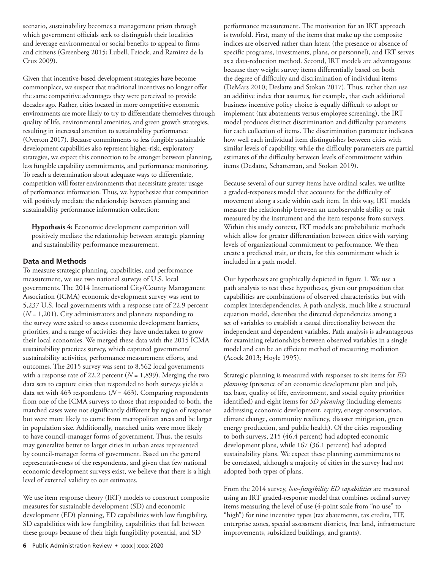scenario, sustainability becomes a management prism through which government officials seek to distinguish their localities and leverage environmental or social benefits to appeal to firms and citizens (Greenberg 2015; Lubell, Feiock, and Ramirez de la Cruz 2009).

Given that incentive-based development strategies have become commonplace, we suspect that traditional incentives no longer offer the same competitive advantages they were perceived to provide decades ago. Rather, cities located in more competitive economic environments are more likely to try to differentiate themselves through quality of life, environmental amenities, and green growth strategies, resulting in increased attention to sustainability performance (Overton 2017). Because commitments to less fungible sustainable development capabilities also represent higher-risk, exploratory strategies, we expect this connection to be stronger between planning, less fungible capability commitments, and performance monitoring. To reach a determination about adequate ways to differentiate, competition will foster environments that necessitate greater usage of performance information. Thus, we hypothesize that competition will positively mediate the relationship between planning and sustainability performance information collection:

**Hypothesis 4:** Economic development competition will positively mediate the relationship between strategic planning and sustainability performance measurement.

# **Data and Methods**

To measure strategic planning, capabilities, and performance measurement, we use two national surveys of U.S. local governments. The 2014 International City/County Management Association (ICMA) economic development survey was sent to 5,237 U.S. local governments with a response rate of 22.9 percent (*N* = 1,201). City administrators and planners responding to the survey were asked to assess economic development barriers, priorities, and a range of activities they have undertaken to grow their local economies. We merged these data with the 2015 ICMA sustainability practices survey, which captured governments' sustainability activities, performance measurement efforts, and outcomes. The 2015 survey was sent to 8,562 local governments with a response rate of 22.2 percent  $(N = 1,899)$ . Merging the two data sets to capture cities that responded to both surveys yields a data set with 463 respondents (*N* = 463). Comparing respondents from one of the ICMA surveys to those that responded to both, the matched cases were not significantly different by region of response but were more likely to come from metropolitan areas and be larger in population size. Additionally, matched units were more likely to have council-manager forms of government. Thus, the results may generalize better to larger cities in urban areas represented by council-manager forms of government. Based on the general representativeness of the respondents, and given that few national economic development surveys exist, we believe that there is a high level of external validity to our estimates.

We use item response theory (IRT) models to construct composite measures for sustainable development (SD) and economic development (ED) planning, ED capabilities with low fungibility, SD capabilities with low fungibility, capabilities that fall between these groups because of their high fungibility potential, and SD

performance measurement. The motivation for an IRT approach is twofold. First, many of the items that make up the composite indices are observed rather than latent (the presence or absence of specific programs, investments, plans, or personnel), and IRT serves as a data-reduction method. Second, IRT models are advantageous because they weight survey items differentially based on both the degree of difficulty and discrimination of individual items (DeMars 2010; Deslatte and Stokan 2017). Thus, rather than use an additive index that assumes, for example, that each additional business incentive policy choice is equally difficult to adopt or implement (tax abatements versus employee screening), the IRT model produces distinct discrimination and difficulty parameters for each collection of items. The discrimination parameter indicates how well each individual item distinguishes between cities with similar levels of capability, while the difficulty parameters are partial estimates of the difficulty between levels of commitment within items (Deslatte, Schatteman, and Stokan 2019).

Because several of our survey items have ordinal scales, we utilize a graded-responses model that accounts for the difficulty of movement along a scale within each item. In this way, IRT models measure the relationship between an unobservable ability or trait measured by the instrument and the item response from surveys. Within this study context, IRT models are probabilistic methods which allow for greater differentiation between cities with varying levels of organizational commitment to performance. We then create a predicted trait, or theta, for this commitment which is included in a path model.

Our hypotheses are graphically depicted in figure 1. We use a path analysis to test these hypotheses, given our proposition that capabilities are combinations of observed characteristics but with complex interdependencies. A path analysis, much like a structural equation model, describes the directed dependencies among a set of variables to establish a causal directionality between the independent and dependent variables. Path analysis is advantageous for examining relationships between observed variables in a single model and can be an efficient method of measuring mediation (Acock 2013; Hoyle 1995).

Strategic planning is measured with responses to six items for *ED planning* (presence of an economic development plan and job, tax base, quality of life, environment, and social equity priorities identified) and eight items for *SD planning* (including elements addressing economic development, equity, energy conservation, climate change, community resiliency, disaster mitigation, green energy production, and public health). Of the cities responding to both surveys, 215 (46.4 percent) had adopted economic development plans, while 167 (36.1 percent) had adopted sustainability plans. We expect these planning commitments to be correlated, although a majority of cities in the survey had not adopted both types of plans.

From the 2014 survey, *low-fungibility ED capabilities* are measured using an IRT graded-response model that combines ordinal survey items measuring the level of use (4-point scale from "no use" to "high") for nine incentive types (tax abatements, tax credits, TIF, enterprise zones, special assessment districts, free land, infrastructure improvements, subsidized buildings, and grants).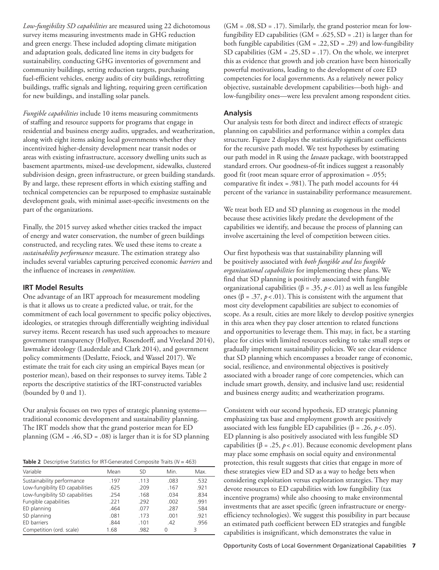*Low-fungibility SD capabilities* are measured using 22 dichotomous survey items measuring investments made in GHG reduction and green energy. These included adopting climate mitigation and adaptation goals, dedicated line items in city budgets for sustainability, conducting GHG inventories of government and community buildings, setting reduction targets, purchasing fuel-efficient vehicles, energy audits of city buildings, retrofitting buildings, traffic signals and lighting, requiring green certification for new buildings, and installing solar panels.

*Fungible capabilities* include 10 items measuring commitments of staffing and resource supports for programs that engage in residential and business energy audits, upgrades, and weatherization, along with eight items asking local governments whether they incentivized higher-density development near transit nodes or areas with existing infrastructure, accessory dwelling units such as basement apartments, mixed-use development, sidewalks, clustered subdivision design, green infrastructure, or green building standards. By and large, these represent efforts in which existing staffing and technical competencies can be repurposed to emphasize sustainable development goals, with minimal asset-specific investments on the part of the organizations.

Finally, the 2015 survey asked whether cities tracked the impact of energy and water conservation, the number of green buildings constructed, and recycling rates. We used these items to create a *sustainability performance* measure. The estimation strategy also includes several variables capturing perceived economic *barriers* and the influence of increases in *competition*.

#### **IRT Model Results**

One advantage of an IRT approach for measurement modeling is that it allows us to create a predicted value, or trait, for the commitment of each local government to specific policy objectives, ideologies, or strategies through differentially weighting individual survey items. Recent research has used such approaches to measure government transparency (Hollyer, Rosendorff, and Vreeland 2014), lawmaker ideology (Lauderdale and Clark 2014), and government policy commitments (Deslatte, Feiock, and Wassel 2017). We estimate the trait for each city using an empirical Bayes mean (or posterior mean), based on their responses to survey items. Table 2 reports the descriptive statistics of the IRT-constructed variables (bounded by 0 and 1).

Our analysis focuses on two types of strategic planning systems traditional economic development and sustainability planning. The IRT models show that the grand posterior mean for ED planning  $(GM = .46, SD = .08)$  is larger than it is for SD planning

|  |  |  |  | <b>Table 2</b> Descriptive Statistics for IRT-Generated Composite Traits ( $N = 463$ ) |  |  |  |  |
|--|--|--|--|----------------------------------------------------------------------------------------|--|--|--|--|
|--|--|--|--|----------------------------------------------------------------------------------------|--|--|--|--|

| Variable                        | Mean | SD   | Min. | Max. |
|---------------------------------|------|------|------|------|
| Sustainability performance      | .197 | .113 | .083 | .532 |
| Low-fungibility ED capabilities | .625 | .209 | .167 | .921 |
| Low-fungibility SD capabilities | .254 | .168 | .034 | .834 |
| Fungible capabilities           | .221 | .292 | .002 | .991 |
| ED planning                     | .464 | .077 | .287 | .584 |
| SD planning                     | .081 | .173 | .001 | .921 |
| ED barriers                     | .844 | .101 | .42  | .956 |
| Competition (ord. scale)        | 1.68 | .982 | 0    | 3    |

 $(GM = .08, SD = .17)$ . Similarly, the grand posterior mean for lowfungibility ED capabilities ( $GM = .625$ ,  $SD = .21$ ) is larger than for both fungible capabilities (GM = .22, SD = .29) and low-fungibility SD capabilities (GM = .25, SD = .17). On the whole, we interpret this as evidence that growth and job creation have been historically powerful motivations, leading to the development of core ED competencies for local governments. As a relatively newer policy objective, sustainable development capabilities—both high- and low-fungibility ones—were less prevalent among respondent cities.

#### **Analysis**

Our analysis tests for both direct and indirect effects of strategic planning on capabilities and performance within a complex data structure. Figure 2 displays the statistically significant coefficients for the recursive path model. We test hypotheses by estimating our path model in R using the *lavaan* package, with bootstrapped standard errors. Our goodness-of-fit indices suggest a reasonably good fit (root mean square error of approximation = .055; comparative fit index = .981). The path model accounts for 44 percent of the variance in sustainability performance measurement.

We treat both ED and SD planning as exogenous in the model because these activities likely predate the development of the capabilities we identify, and because the process of planning can involve ascertaining the level of competition between cities.

Our first hypothesis was that sustainability planning will be positively associated with *both fungible and less fungible organizational capabilities* for implementing these plans. We find that SD planning is positively associated with fungible organizational capabilities (β = .35, *p*<.01) as well as less fungible ones (β = .37,  $p < .01$ ). This is consistent with the argument that most city development capabilities are subject to economies of scope. As a result, cities are more likely to develop positive synergies in this area when they pay closer attention to related functions and opportunities to leverage them. This may, in fact, be a starting place for cities with limited resources seeking to take small steps or gradually implement sustainability policies. We see clear evidence that SD planning which encompasses a broader range of economic, social, resilience, and environmental objectives is positively associated with a broader range of core competencies, which can include smart growth, density, and inclusive land use; residential and business energy audits; and weatherization programs.

Consistent with our second hypothesis, ED strategic planning emphasizing tax base and employment growth are positively associated with less fungible ED capabilities ( $β = .26, p < .05$ ). ED planning is also positively associated with less fungible SD capabilities (β = .25, *p*<.01). Because economic development plans may place some emphasis on social equity and environmental protection, this result suggests that cities that engage in more of these strategies view ED and SD as a way to hedge bets when considering exploitation versus exploration strategies. They may devote resources to ED capabilities with low fungibility (tax incentive programs) while also choosing to make environmental investments that are asset specific (green infrastructure or energyefficiency technologies). We suggest this possibility in part because an estimated path coefficient between ED strategies and fungible capabilities is insignificant, which demonstrates the value in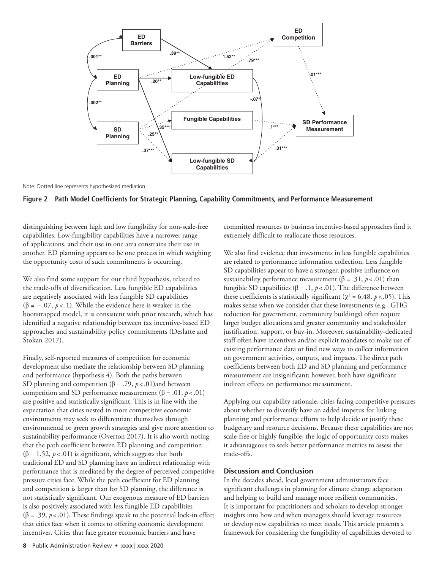

Note: Dotted line represents hypothesized mediation.



distinguishing between high and low fungibility for non-scale-free capabilities. Low-fungibility capabilities have a narrower range of applications, and their use in one area constrains their use in another. ED planning appears to be one process in which weighing the opportunity costs of such commitments is occurring.

We also find some support for our third hypothesis, related to the trade-offs of diversification. Less fungible ED capabilities are negatively associated with less fungible SD capabilities ( $\beta$  = -.07,  $p$  < .1). While the evidence here is weaker in the bootstrapped model, it is consistent with prior research, which has identified a negative relationship between tax incentive-based ED approaches and sustainability policy commitments (Deslatte and Stokan 2017).

Finally, self-reported measures of competition for economic development also mediate the relationship between SD planning and performance (hypothesis 4). Both the paths between SD planning and competition ( $\beta$  = .79,  $p$  < .01) and between competition and SD performance measurement (β = .01,  $p < .01$ ) are positive and statistically significant. This is in line with the expectation that cities nested in more competitive economic environments may seek to differentiate themselves through environmental or green growth strategies and give more attention to sustainability performance (Overton 2017). It is also worth noting that the path coefficient between ED planning and competition  $(\beta = 1.52, p < .01)$  is significant, which suggests that both traditional ED and SD planning have an indirect relationship with performance that is mediated by the degree of perceived competitive pressure cities face. While the path coefficient for ED planning and competition is larger than for SD planning, the difference is not statistically significant. Our exogenous measure of ED barriers is also positively associated with less fungible ED capabilities (β = .39, *p*<.01). These findings speak to the potential lock-in effect that cities face when it comes to offering economic development incentives. Cities that face greater economic barriers and have

committed resources to business incentive-based approaches find it extremely difficult to reallocate those resources.

We also find evidence that investments in less fungible capabilities are related to performance information collection. Less fungible SD capabilities appear to have a stronger, positive influence on sustainability performance measurement  $(\beta = .31, p < .01)$  than fungible SD capabilities ( $β = .1, p < .01$ ). The difference between these coefficients is statistically significant ( $\chi^2$  = 6.48,  $p$  < .05). This makes sense when we consider that these investments (e.g., GHG reduction for government, community buildings) often require larger budget allocations and greater community and stakeholder justification, support, or buy-in. Moreover, sustainability-dedicated staff often have incentives and/or explicit mandates to make use of existing performance data or find new ways to collect information on government activities, outputs, and impacts. The direct path coefficients between both ED and SD planning and performance measurement are insignificant; however, both have significant indirect effects on performance measurement.

Applying our capability rationale, cities facing competitive pressures about whether to diversify have an added impetus for linking planning and performance efforts to help decide or justify these budgetary and resource decisions. Because these capabilities are not scale-free or highly fungible, the logic of opportunity costs makes it advantageous to seek better performance metrics to assess the trade-offs.

### **Discussion and Conclusion**

In the decades ahead, local government administrators face significant challenges in planning for climate change adaptation and helping to build and manage more resilient communities. It is important for practitioners and scholars to develop stronger insights into how and when managers should leverage resources or develop new capabilities to meet needs. This article presents a framework for considering the fungibility of capabilities devoted to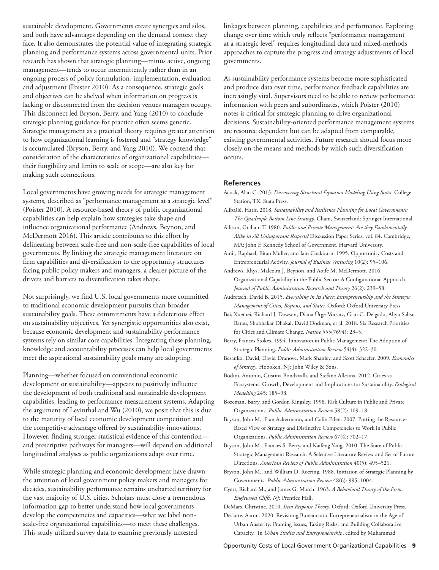sustainable development. Governments create synergies and silos, and both have advantages depending on the demand context they face. It also demonstrates the potential value of integrating strategic planning and performance systems across governmental units. Prior research has shown that strategic planning—minus active, ongoing management—tends to occur intermittently rather than in an ongoing process of policy formulation, implementation, evaluation and adjustment (Poister 2010). As a consequence, strategic goals and objectives can be shelved when information on progress is lacking or disconnected from the decision venues managers occupy. This disconnect led Bryson, Berry, and Yang (2010) to conclude strategic planning guidance for practice often seems generic. Strategic management as a practical theory requires greater attention to how organizational learning is fostered and "strategy knowledge" is accumulated (Bryson, Berry, and Yang 2010). We contend that consideration of the characteristics of organizational capabilities their fungibility and limits to scale or scope—are also key for making such connections.

Local governments have growing needs for strategic management systems, described as "performance management at a strategic level" (Poister 2010). A resource-based theory of public organizational capabilities can help explain how strategies take shape and influence organizational performance (Andrews, Beynon, and McDermott 2016). This article contributes to this effort by delineating between scale-free and non-scale-free capabilities of local governments. By linking the strategic management literature on firm capabilities and diversification to the opportunity structures facing public policy makers and managers, a clearer picture of the drivers and barriers to diversification takes shape.

Not surprisingly, we find U.S. local governments more committed to traditional economic development pursuits than broader sustainability goals. These commitments have a deleterious effect on sustainability objectives. Yet synergistic opportunities also exist, because economic development and sustainability performance systems rely on similar core capabilities. Integrating these planning, knowledge and accountability processes can help local governments meet the aspirational sustainability goals many are adopting.

Planning—whether focused on conventional economic development or sustainability—appears to positively influence the development of both traditional and sustainable development capabilities, leading to performance measurement systems. Adapting the argument of Levinthal and Wu (2010), we posit that this is due to the maturity of local economic development competition and the competitive advantage offered by sustainability innovations. However, finding stronger statistical evidence of this contention and prescriptive pathways for managers—will depend on additional longitudinal analyses as public organizations adapt over time.

While strategic planning and economic development have drawn the attention of local government policy makers and managers for decades, sustainability performance remains uncharted territory for the vast majority of U.S. cities. Scholars must close a tremendous information gap to better understand how local governments develop the competencies and capacities—what we label nonscale-free organizational capabilities—to meet these challenges. This study utilized survey data to examine previously untested

linkages between planning, capabilities and performance. Exploring change over time which truly reflects "performance management at a strategic level" requires longitudinal data and mixed-methods approaches to capture the progress and strategy adjustments of local governments.

As sustainability performance systems become more sophisticated and produce data over time, performance feedback capabilities are increasingly vital. Supervisors need to be able to review performance information with peers and subordinates, which Poister (2010) notes is critical for strategic planning to drive organizational decisions. Sustainability-oriented performance management systems are resource dependent but can be adapted from comparable, existing governmental activities. Future research should focus more closely on the means and methods by which such diversification occurs.

#### **References**

- Acock, Alan C. 2013. *Discovering Structural Equation Modeling Using Stata*. College Station, TX: Stata Press.
- Alibašić, Haris. 2018. *Sustainability and Resilience Planning for Local Governments: The Quadruple Bottom Line Strategy*. Cham, Switzerland: Springer International.
- Allison, Graham T. 1980. *Public and Private Management: Are they Fundamentally Alike in All Unimportant Respects?* Discussion Paper Series, vol. 84. Cambridge, MA: John F. Kennedy School of Government, Harvard University.
- Amit, Raphael, Eitan Muller, and Iain Cockburn. 1995. Opportunity Costs and Entrepreneurial Activity. *Journal of Business Venturing* 10(2): 95–106.
- Andrews, Rhys, Malcolm J. Beynon, and Aoife M. McDermott. 2016. Organizational Capability in the Public Sector: A Configurational Approach. *Journal of Public Administration Research and Theory* 26(2): 239–58.
- Audretsch, David B. 2015. *Everything in Its Place: Entrepreneurship and the Strategic Management of Cities, Regions, and States*. Oxford: Oxford University Press.
- Bai, Xuemei, Richard J. Dawson, Diana Ürge-Vorsatz, Gian C. Delgado, Aliyu Salisu Barau, Shobhakar Dhakal, David Dodman, et al. 2018. Six Research Priorities for Cities and Climate Change. *Nature* 555(7694): 23–5.
- Berry, Frances Stokes. 1994. Innovation in Public Management: The Adoption of Strategic Planning. *Public Administration Review* 54(4): 322–30.
- Besanko, David, David Dranove, Mark Shanley, and Scott Schaefer. 2009. *Economics of Strategy*. Hoboken, NJ: John Wiley & Sons.
- Bodini, Antonio, Cristina Bondavalli, and Stefano Allesina. 2012. Cities as Ecosystems: Growth, Development and Implications for Sustainability. *Ecological Modelling* 245: 185–98.

Bozeman, Barry, and Gordon Kingsley. 1998. Risk Culture in Public and Private Organizations. *Public Administration Review* 58(2): 109–18.

Bryson, John M., Fran Ackermann, and Colin Eden. 2007. Putting the Resource-Based View of Strategy and Distinctive Competencies to Work in Public Organizations. *Public Administration Review* 67(4): 702–17.

- Bryson, John M., Frances S. Berry, and Kaifeng Yang. 2010. The State of Public Strategic Management Research: A Selective Literature Review and Set of Future Directions. *American Review of Public Administration* 40(5): 495–521.
- Bryson, John M., and William D. Roering. 1988. Initiation of Strategic Planning by Governments. *Public Administration Review* 48(6): 995–1004.
- Cyert, Richard M., and James G. March. 1963. *A Behavioral Theory of the Firm*. *Englewood Cliffs, NJ*: Prentice Hall.

DeMars, Christine. 2010. *Item Response Theory*. Oxford: Oxford University Press.

Deslatte, Aaron. 2020. Revisiting Bureaucratic Entrepreneurialism in the Age of Urban Austerity: Framing Issues, Taking Risks, and Building Collaborative Capacity. In *Urban Studies and Entrepreneurship*, edited by Muhammad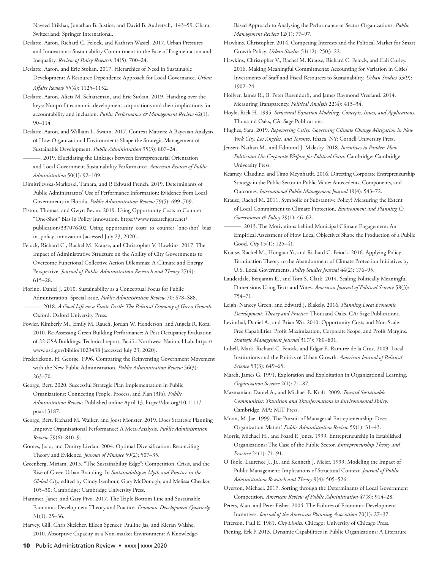Naveed Iftikhar, Jonathan B. Justice, and David B. Audretsch, 143–59. Cham, Switzerland: Springer International.

Deslatte, Aaron, Richard C. Feiock, and Kathryn Wassel. 2017. Urban Pressures and Innovations: Sustainability Commitment in the Face of Fragmentation and Inequality. *Review of Policy Research* 34(5): 700–24.

Deslatte, Aaron, and Eric Stokan. 2017. Hierarchies of Need in Sustainable Development: A Resource Dependence Approach for Local Governance. *Urban Affairs Review* 55(4): 1125–1152.

Deslatte, Aaron, Alicia M. Schatteman, and Eric Stokan. 2019. Handing over the keys: Nonprofit economic development corporations and their implications for accountability and inclusion. *Public Performance & Management Review* 42(1): 90–114

Deslatte, Aaron, and William L. Swann. 2017. Context Matters: A Bayesian Analysis of How Organizational Environments Shape the Strategic Management of Sustainable Development. *Public Administration* 95(3): 807–24.

-. 2019. Elucidating the Linkages between Entrepreneurial Orientation and Local Government Sustainability Performance. *American Review of Public Administration* 50(1): 92–109.

Dimitrijevska-Markoski, Tamara, and P. Edward French. 2019. Determinants of Public Administrators' Use of Performance Information: Evidence from Local Governments in Florida. *Public Administration Review* 79(5): 699–709.

Elston, Thomas, and Gwyn Bevan. 2019. Using Opportunity Costs to Counter "One-Shot" Bias in Policy Innovation. https://www.researchgate.net/ publication/337076402\_Using\_opportunity\_costs\_to\_counter\_'one-shot'\_bias\_ in\_policy\_innovation [accessed July 23, 2020].

Feiock, Richard C., Rachel M. Krause, and Christopher V. Hawkins. 2017. The Impact of Administrative Structure on the Ability of City Governments to Overcome Functional Collective Action Dilemmas: A Climate and Energy Perspective. *Journal of Public Administration Research and Theory* 27(4): 615–28.

Fiorino, Daniel J. 2010. Sustainability as a Conceptual Focus for Public Administration. Special issue, *Public Administration Review* 70: S78–S88. ———. 2018. *A Good Life on a Finite Earth: The Political Economy of Green Growth*. Oxford: Oxford University Press.

Fowler, Kimberly M., Emily M. Rauch, Jordan W. Henderson, and Angela R. Kora. 2010. Re-Assessing Green Building Performance: A Post Occupancy Evaluation of 22 GSA Buildings. Technical report, Pacific Northwest National Lab. https:// www.osti.gov/biblio/1029438 [accessed July 23, 2020].

Frederickson, H. George. 1996. Comparing the Reinventing Government Movement with the New Public Administration. *Public Administration Review* 56(3): 263–70.

George, Bert. 2020. Successful Strategic Plan Implementation in Public Organizations: Connecting People, Process, and Plan (3Ps). *Public Administration Review.* Published online April 13. https://doi.org/10.1111/ puar.13187.

George, Bert, Richard M. Walker, and Joost Monster. 2019. Does Strategic Planning Improve Organizational Performance? A Meta-Analysis. *Public Administration Review* 79(6): 810–9.

Gomes, Joao, and Dmitry Livdan. 2004. Optimal Diversification: Reconciling Theory and Evidence. *Journal of Finance* 59(2): 507–35.

Greenberg, Miriam. 2015. "The Sustainability Edge": Competition, Crisis, and the Rise of Green Urban Branding. In *Sustainability as Myth and Practice in the Global City*, edited by Cindy Isenhour, Gary McDonogh, and Melissa Checker, 105–30. Cambridge: Cambridge University Press.

Hammer, Janet, and Gary Pivo. 2017. The Triple Bottom Line and Sustainable Economic Development Theory and Practice. *Economic Development Quarterly* 31(1): 25–36.

Harvey, Gill, Chris Skelcher, Eileen Spencer, Pauline Jas, and Kieran Walshe. 2010. Absorptive Capacity in a Non-market Environment: A KnowledgeBased Approach to Analysing the Performance of Sector Organizations. *Public Management Review* 12(1): 77–97.

Hawkins, Christopher. 2014. Competing Interests and the Political Market for Smart Growth Policy. *Urban Studies* 51(12): 2503–22.

Hawkins, Christopher V., Rachel M. Krause, Richard C. Feiock, and Cali Curley. 2016. Making Meaningful Commitments: Accounting for Variation in Cities' Investments of Staff and Fiscal Resources to Sustainability. *Urban Studies* 53(9): 1902–24.

Hollyer, James R., B. Peter Rosendorff, and James Raymond Vreeland. 2014. Measuring Transparency. *Political Analysis* 22(4): 413–34.

Hoyle, Rick H. 1995. *Structural Equation Modeling: Concepts, Issues, and Applications*. Thousand Oaks, CA: Sage Publications.

Hughes, Sara. 2019. *Repowering Cities: Governing Climate Change Mitigation in New York City, Los Angeles, and Toronto*. Ithaca, NY: Cornell University Press.

Jensen, Nathan M., and Edmund J. Malesky. 2018. *Incentives to Pander: How Politicians Use Corporate Welfare for Political Gain*. Cambridge: Cambridge University Press.

Kearney, Claudine, and Timo Meynhardt. 2016. Directing Corporate Entrepreneurship Strategy in the Public Sector to Public Value: Antecedents, Components, and Outcomes. *International Public Management Journal* 19(4): 543–72.

Krause, Rachel M. 2011. Symbolic or Substantive Policy? Measuring the Extent of Local Commitment to Climate Protection. *Environment and Planning C: Government & Policy* 29(1): 46–62.

———. 2013. The Motivations behind Municipal Climate Engagement: An Empirical Assessment of How Local Objectives Shape the Production of a Public Good. *City* 15(1): 125–41.

Krause, Rachel M., Hongtao Yi, and Richard C. Feiock. 2016. Applying Policy Termination Theory to the Abandonment of Climate Protection Initiatives by U.S. Local Governments. *Policy Studies Journal* 44(2): 176–95.

Lauderdale, Benjamin E., and Tom S. Clark. 2014. Scaling Politically Meaningful Dimensions Using Texts and Votes. *American Journal of Political Science* 58(3): 754–71.

Leigh, Nancey Green, and Edward J. Blakely. 2016. *Planning Local Economic Development: Theory and Practice*. Thousand Oaks, CA: Sage Publications.

Levinthal, Daniel A., and Brian Wu. 2010. Opportunity Costs and Non-Scale-Free Capabilities: Profit Maximization, Corporate Scope, and Profit Margins. *Strategic Management Journal* 31(7): 780–801.

Lubell, Mark, Richard C. Feiock, and Edgar E. Ramirez de la Cruz. 2009. Local Institutions and the Politics of Urban Growth. *American Journal of Political Science* 53(3): 649–65.

March, James G. 1991. Exploration and Exploitation in Organizational Learning. *Organization Science* 2(1): 71–87.

Mazmanian, Daniel A., and Michael E. Kraft. 2009. *Toward Sustainable Communities: Transition and Transformations in Environmental Policy*. Cambridge, MA: MIT Press.

Moon, M. Jae. 1999. The Pursuit of Managerial Entrepreneurship: Does Organization Matter? *Public Administration Review* 59(1): 31–43.

Morris, Michael H., and Foard F. Jones. 1999. Entrepreneurship in Established Organizations: The Case of the Public Sector. *Entrepreneurship Theory and Practice* 24(1): 71–91.

O'Toole, Laurence J., Jr., and Kenneth J. Meier. 1999. Modeling the Impact of Public Management: Implications of Structural Context. *Journal of Public Administration Research and Theory* 9(4): 505–526.

Overton, Michael. 2017. Sorting through the Determinants of Local Government Competition. *American Review of Public Administration* 47(8): 914–28.

Peters, Alan, and Peter Fisher. 2004. The Failures of Economic Development Incentives. *Journal of the American Planning Association* 70(1): 27–37.

Peterson, Paul E. 1981. *City Limits*. Chicago: University of Chicago Press.

Piening, Erk P. 2013. Dynamic Capabilities in Public Organizations: A Literature